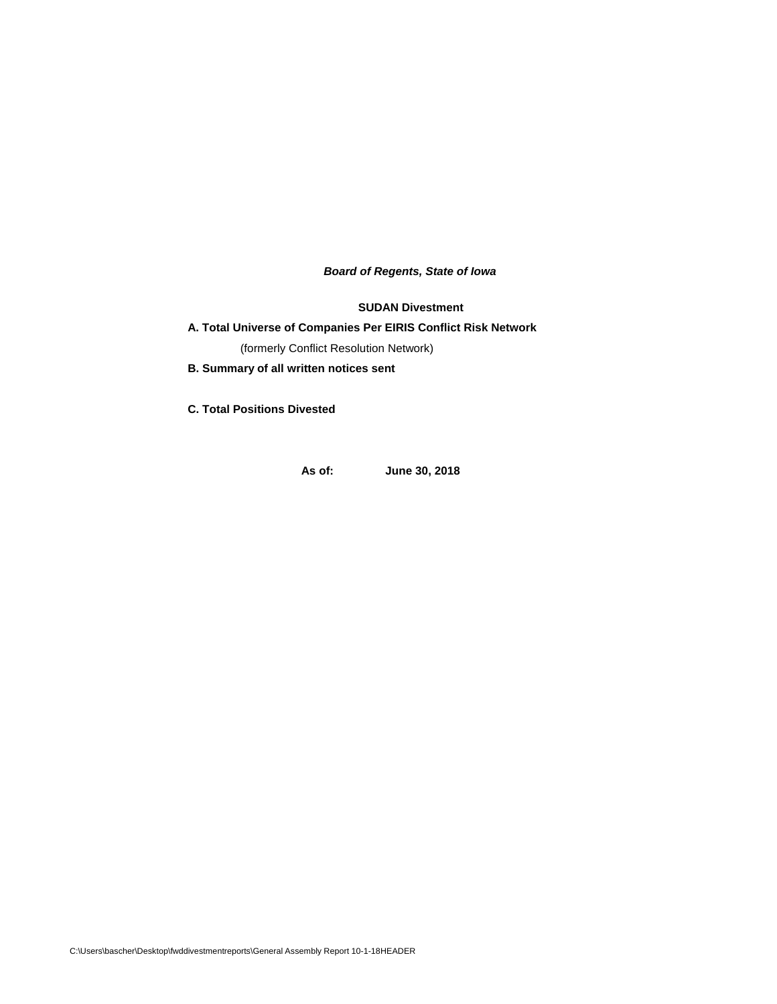*Board of Regents, State of Iowa*

**SUDAN Divestment**

# **A. Total Universe of Companies Per EIRIS Conflict Risk Network**

(formerly Conflict Resolution Network)

**B. Summary of all written notices sent** 

**C. Total Positions Divested**

**As of: June 30, 2018**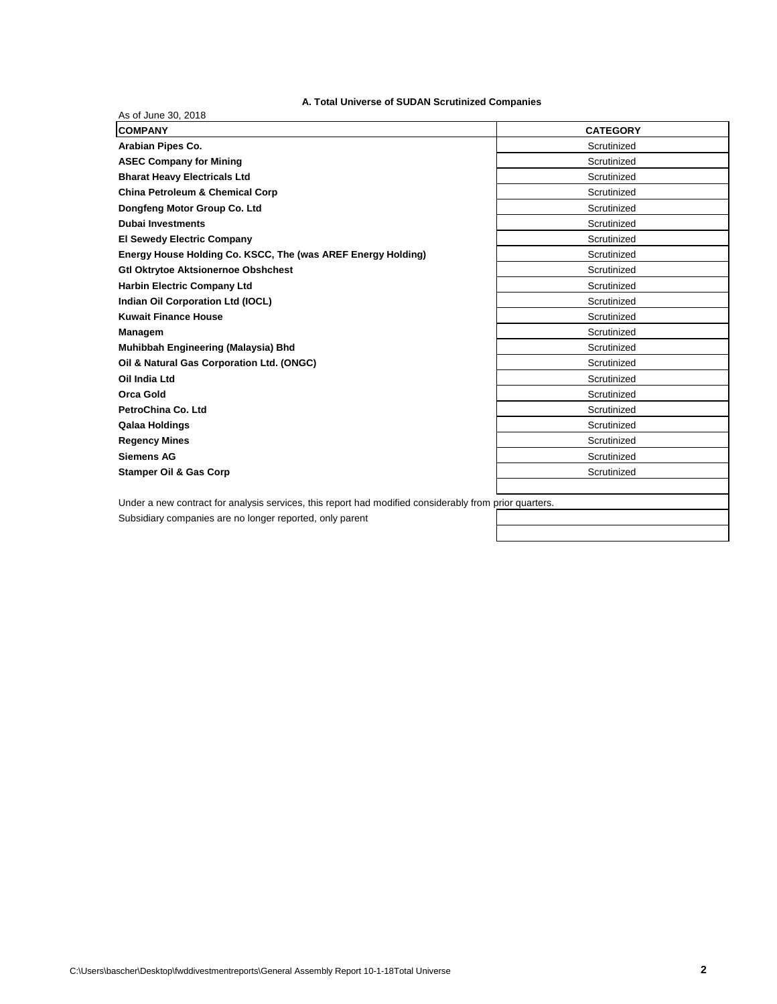# **A. Total Universe of SUDAN Scrutinized Companies**

| As of June 30, 2018<br><b>COMPANY</b>                                                                  | <b>CATEGORY</b> |
|--------------------------------------------------------------------------------------------------------|-----------------|
| Arabian Pipes Co.                                                                                      | Scrutinized     |
| <b>ASEC Company for Mining</b>                                                                         | Scrutinized     |
| <b>Bharat Heavy Electricals Ltd</b>                                                                    | Scrutinized     |
| <b>China Petroleum &amp; Chemical Corp</b>                                                             | Scrutinized     |
| Dongfeng Motor Group Co. Ltd                                                                           | Scrutinized     |
| <b>Dubai Investments</b>                                                                               | Scrutinized     |
| <b>El Sewedy Electric Company</b>                                                                      | Scrutinized     |
| Energy House Holding Co. KSCC, The (was AREF Energy Holding)                                           | Scrutinized     |
| <b>Gtl Oktrytoe Aktsionernoe Obshchest</b>                                                             | Scrutinized     |
| <b>Harbin Electric Company Ltd</b>                                                                     | Scrutinized     |
| Indian Oil Corporation Ltd (IOCL)                                                                      | Scrutinized     |
| <b>Kuwait Finance House</b>                                                                            | Scrutinized     |
| Managem                                                                                                | Scrutinized     |
| Muhibbah Engineering (Malaysia) Bhd                                                                    | Scrutinized     |
| Oil & Natural Gas Corporation Ltd. (ONGC)                                                              | Scrutinized     |
| Oil India Ltd                                                                                          | Scrutinized     |
| <b>Orca Gold</b>                                                                                       | Scrutinized     |
| PetroChina Co. Ltd                                                                                     | Scrutinized     |
| Qalaa Holdings                                                                                         | Scrutinized     |
| <b>Regency Mines</b>                                                                                   | Scrutinized     |
| <b>Siemens AG</b>                                                                                      | Scrutinized     |
| <b>Stamper Oil &amp; Gas Corp</b>                                                                      | Scrutinized     |
|                                                                                                        |                 |
| Under a new contract for analysis services, this report had modified considerably from prior quarters. |                 |

Subsidiary companies are no longer reported, only parent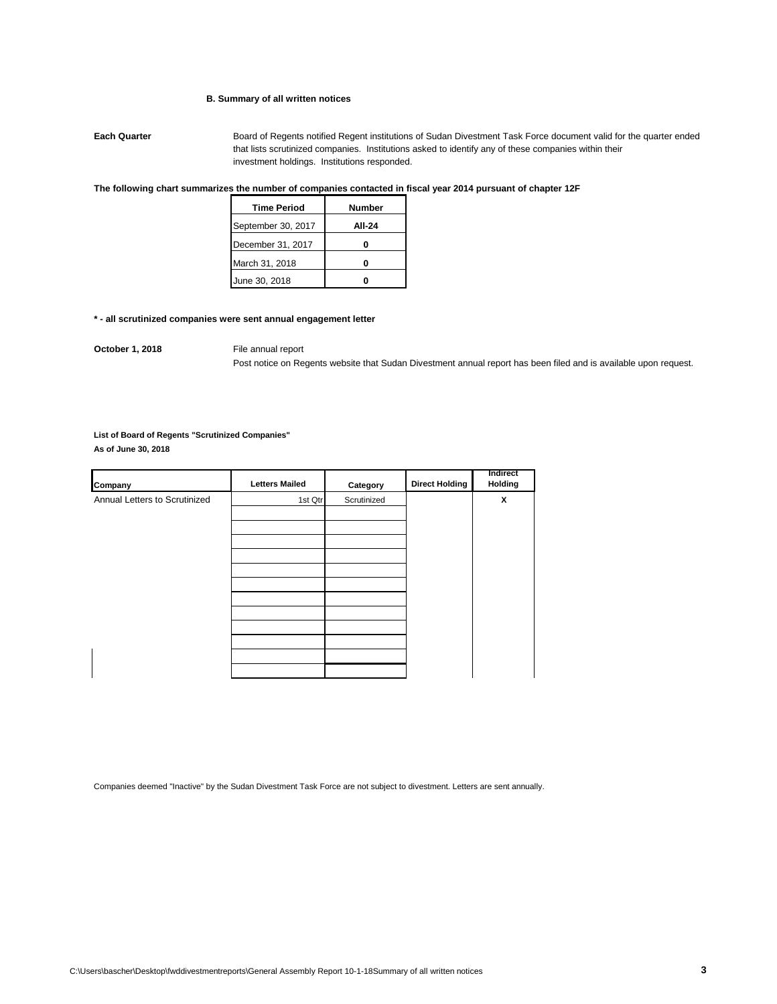#### **B. Summary of all written notices**

**Each Quarter** Board of Regents notified Regent institutions of Sudan Divestment Task Force document valid for the quarter ended that lists scrutinized companies. Institutions asked to identify any of these companies within their investment holdings. Institutions responded.

# **The following chart summarizes the number of companies contacted in fiscal year 2014 pursuant of chapter 12F**

| <b>Time Period</b> | <b>Number</b> |
|--------------------|---------------|
| September 30, 2017 | AII-24        |
| December 31, 2017  |               |
| March 31, 2018     |               |
| June 30, 2018      |               |

#### **\* - all scrutinized companies were sent annual engagement letter**

**October 1, 2018** File annual report

Post notice on Regents website that Sudan Divestment annual report has been filed and is available upon request.

# **List of Board of Regents "Scrutinized Companies"**

**As of June 30, 2018**

| Company                       | <b>Letters Mailed</b> | Category    | <b>Direct Holding</b> | <b>Indirect</b><br>Holding |
|-------------------------------|-----------------------|-------------|-----------------------|----------------------------|
| Annual Letters to Scrutinized | 1st Qtr               | Scrutinized |                       | x                          |
|                               |                       |             |                       |                            |
|                               |                       |             |                       |                            |
|                               |                       |             |                       |                            |
|                               |                       |             |                       |                            |
|                               |                       |             |                       |                            |
|                               |                       |             |                       |                            |
|                               |                       |             |                       |                            |
|                               |                       |             |                       |                            |
|                               |                       |             |                       |                            |
|                               |                       |             |                       |                            |
|                               |                       |             |                       |                            |

Companies deemed "Inactive" by the Sudan Divestment Task Force are not subject to divestment. Letters are sent annually.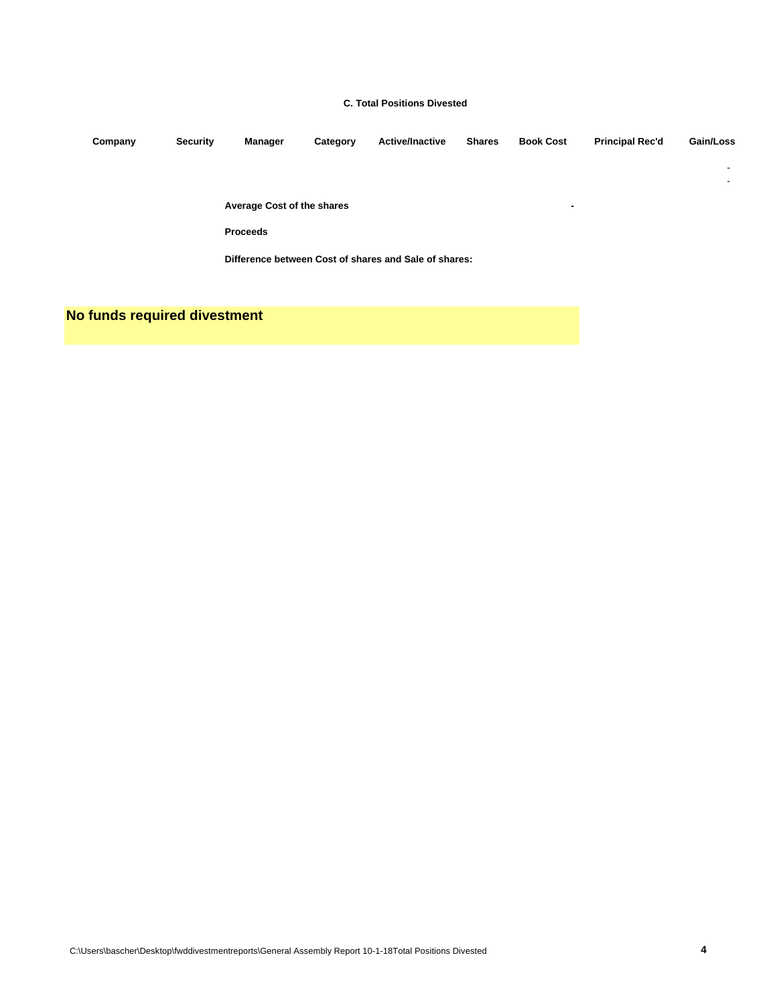#### **C. Total Positions Divested**

| Company | <b>Security</b> | Manager                    | Category | <b>Active/Inactive</b>                                | <b>Shares</b> | <b>Book Cost</b>         | <b>Principal Rec'd</b> | Gain/Loss                |
|---------|-----------------|----------------------------|----------|-------------------------------------------------------|---------------|--------------------------|------------------------|--------------------------|
|         |                 |                            |          |                                                       |               |                          |                        | $\overline{\phantom{a}}$ |
|         |                 |                            |          |                                                       |               |                          |                        | ۰                        |
|         |                 | Average Cost of the shares |          |                                                       |               | $\overline{\phantom{a}}$ |                        |                          |
|         |                 | <b>Proceeds</b>            |          |                                                       |               |                          |                        |                          |
|         |                 |                            |          | Difference between Cost of shares and Sale of shares: |               |                          |                        |                          |

**No funds required divestment**